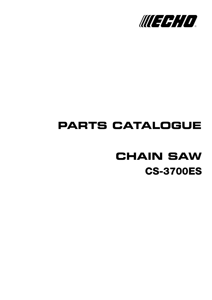

## **PARTS CATALOGUE**

# **CS-3700ES CHAIN SAW**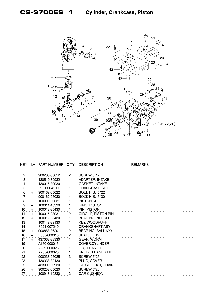

| <b>KEY</b>                            | LV. | PART NUMBER Q'TY |                       | <b>DESCRIPTION</b>         | <b>REMARKS</b> |
|---------------------------------------|-----|------------------|-----------------------|----------------------------|----------------|
|                                       |     |                  |                       |                            |                |
| $\overline{2}$                        |     | 900238-05012     | $\mathbf{2}^{\prime}$ | <b>SCREW 5*12</b>          |                |
| 3                                     |     | 130510-39932     |                       | ADAPTER, INTAKE            |                |
| $\frac{4}{5}$                         |     | 130016-39930     |                       | <b>GASKET, INTAKE</b>      |                |
|                                       |     | P021-004100      |                       | <b>CRANKCASE SET</b>       |                |
| 6                                     | $+$ | 900162-05022     | 4                     | BOLT, H.S. 5*22            |                |
| $\begin{array}{c} 7 \\ 8 \end{array}$ |     | 900162-05030     | 4                     | BOLT, H.S. 5*30            |                |
|                                       |     | 100000-60631     |                       | PISTON KIT                 |                |
| 9                                     | $+$ | 100011-13330     |                       | RING, PISTON               |                |
| $\frac{10}{1}$                        | $+$ | 100013-35430     |                       | PIN, PISTON                |                |
| 11                                    | $+$ | 100015-03931     | $\overline{2}$        | <b>CIRCLIP, PISTON PIN</b> |                |
| 12                                    | $+$ | 100012-35430     | 1                     | <b>BEARING, NEEDLE</b>     |                |
| $^{13}$                               |     | 100142-39130     |                       | <b>KEY, WOODRUFF</b>       |                |
| 14                                    |     | P021-007240      | 1.                    | <b>CRANKSHAFT ASY</b>      |                |
| 15                                    | $+$ | 900888-36201     | $\mathbf{2}$          | BEARING, BALL 6201         |                |
| 16                                    | $+$ | V505-000010      | 2                     | SEAL, OIL 12               |                |
| $\overline{17}$                       | $+$ | 437063-38330     |                       | <b>GEAR, WORM</b>          |                |
| 19                                    |     | A160-000015      |                       | <b>COVER, CYLINDER</b>     |                |
|                                       |     | A232-000023      |                       | LID, CLEANER               |                |
| $\frac{20}{21}$                       |     | A235-000020      |                       | <b>KNOB, CLEANER LID</b>   |                |
| 22                                    |     | 900238-05025     | 3                     | <b>SCREW 5*25</b>          |                |
|                                       |     | 130338-32430     |                       | PLUG, COVER                |                |
| $\frac{23}{25}$                       |     | 433000-60930     |                       | CATCHER KIT, CHAIN         |                |
| 26                                    | $+$ | 900253-05020     |                       | <b>SCREW 5*20</b>          |                |
| 27                                    |     | 100918-19830     | $\overline{2}$        | CAP, CUSHION               |                |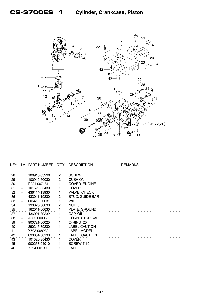

| KEY.           | IV. | PART NUMBER Q'TY |                | <b>DESCRIPTION</b>   | <b>REMARKS</b> |
|----------------|-----|------------------|----------------|----------------------|----------------|
|                |     |                  |                |                      |                |
| 28             |     | 100915-33930     | $\overline{2}$ | <b>SCREW</b>         |                |
| 29             |     | 100910-60030     | 2              | <b>CUSHION</b>       |                |
| $\frac{30}{5}$ |     | P021-007181      |                | <b>COVER, ENGINE</b> |                |
| 31             | $+$ | 101520-35430     |                | <b>COVER</b>         |                |
| 32             | $+$ | 436114-13930     |                | VALVE, CHECK         |                |
| 36             | $+$ | 433011-19830     | 2              | STUD, GUIDE BAR      |                |
| 33             | $+$ | 606416-60631     |                | <b>WIRE</b>          |                |
| 34             |     | 130020-60630     | 2              | NUT <sub>5</sub>     |                |
| $\frac{35}{1}$ |     | 162011-60630     |                | PLATE, GROUND        |                |
| 37             |     | 436001-39232     |                | CAP, OIL             |                |
| 38             | $+$ | A365-000050      |                | CONNECTOR, CAP       |                |
| $\frac{39}{5}$ | $+$ | 900721-00025     |                | O-RING 25            |                |
| 40             |     | 890345-39230     |                | LABEL, CAUTION       |                |
| 41             |     | X503-008230      |                | LABEL, MODEL         |                |
| 42             |     | 890631-38130     |                | LABEL, CAUTION       |                |
| 43             |     | 101520-35430     |                | <b>COVER</b>         |                |
| 45             |     | 900253-04010     |                | <b>SCREW 4*10</b>    |                |
| 46             |     | X524-001900      |                | LABEL                |                |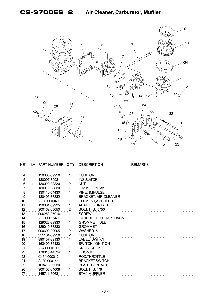

| <b>KEY</b>       | LV. | PART NUMBER Q'TY |                | <b>DESCRIPTION</b>          | <b>REMARKS</b> |
|------------------|-----|------------------|----------------|-----------------------------|----------------|
|                  |     |                  |                |                             |                |
| $\overline{4}$   |     | 130366-39930     | 1              | <b>CUSHION</b>              |                |
| 5                |     | 130007-39931     |                | <b>INSULATOR</b>            |                |
| $6 \overline{6}$ | $+$ | 130020-33330     | $\overline{c}$ | <b>NUT</b>                  |                |
|                  |     | 130010-38330     |                | <b>GASKET, INTAKE</b>       |                |
| 8                |     | 130110-54430     |                | PIPE, IMPULSE               |                |
| 9                |     | 130405-38332     |                | <b>BRACKET, AIR CLEANER</b> |                |
| 10               |     | A226-000040      |                | ELEMENT, AIR FILTER         |                |
| 11               |     | 130301-39935     |                | <b>ADAPTER, INTAKE</b>      |                |
| 12               |     | 900162-05050     | 2              | <b>BOLT, H.S. 5*50</b>      |                |
| 13               |     | 900253-05016     |                | <b>SCREW</b>                |                |
| 14               |     | A021-001540      |                | CARBURETOR, DIAPHRAGM       |                |
| 15               |     | 129023-39930     |                | <b>GROMMET, IDLE</b>        |                |
| 16               |     | 129010-33330     |                | <b>GROMMET</b>              |                |
| 17               |     | 900600-00005     | 2              | WASHER 5                    |                |
| 18               |     | 351134-39930     | 2              | <b>CUSHION</b>              |                |
| $\overline{19}$  |     | 890157-39130     |                | LABEL, SWITCH               |                |
| 20               |     | 163400-35430     |                | <b>SWITCH, IGNITION</b>     |                |
| 21               |     | A241-000100      |                | <b>KNOB, CHOKE</b>          |                |
| 22               |     | 178810-14534     |                | <b>GROMMET</b>              |                |
| 23               |     | C454-000012      |                | ROD, THROTTLE               |                |
| 24               |     | A439-000144      |                | <b>BRACKET, SWITCH</b>      |                |
| 25               |     | 163413-59530     |                | PLATE, CONTACT              |                |
| 26               |     | 900105-04006     |                | <b>BOLT, H.S. 4*6</b>       |                |
| 27               |     | 145711-60631     |                | <b>STAY, MUFFLER</b>        |                |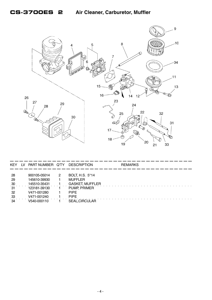

| KEY | LV | PART NUMBER Q'TY   |   | <b>DESCRIPTION</b>     | <b>REMARKS</b> |
|-----|----|--------------------|---|------------------------|----------------|
|     |    |                    |   |                        |                |
| -28 |    | 900105-05014       | 2 | <b>BOLT, H.S. 5*14</b> |                |
| 29  |    | 145610-39930       |   | <b>MUFFLER</b>         |                |
| 30  |    | 145510-35431       |   | <b>GASKET, MUFFLER</b> |                |
| 31  |    | 123181-39130       |   | PUMP, PRIMER           |                |
| -32 |    | V471-001280        |   | <b>PIPE</b>            |                |
| 33  |    | V471-001240        |   | <b>PIPE</b>            |                |
| 34  |    | <u>V540-000110</u> |   | <b>SEAL, CIRCULAR</b>  |                |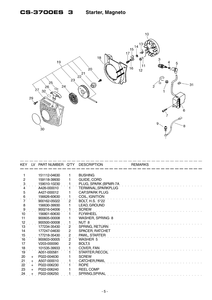

| KEY.                | <b>LV</b> | PART NUMBER Q'TY |                | <b>DESCRIPTION</b>      | <b>REMARKS</b> |
|---------------------|-----------|------------------|----------------|-------------------------|----------------|
|                     |           |                  |                |                         |                |
|                     |           | 151112-04630     |                | <b>BUSHING</b>          |                |
| $\overline{2}$      |           | 159118-39930     |                | GUIDE, CORD             |                |
| $\ddot{\mathbf{3}}$ |           | 159010-10230     |                | PLUG, SPARK (BPMR-7A    |                |
|                     |           | A426-000010      |                | TERMINAL, SPARKPLUG     |                |
| 5                   |           | A427-000012      |                | <b>CAP, SPARK PLUG</b>  |                |
| 6                   |           | 156626-60630     |                | COIL, IGNITION          |                |
|                     |           | 900162-05022     | $\overline{2}$ | <b>BOLT, H.S. 5*22</b>  |                |
| 8                   |           | 156630-39930     |                | LEAD, GROUND            |                |
| 9                   |           | 900216-04006     |                | <b>SCREW</b>            |                |
| 10                  |           | 156801-60630     |                | <b>FLYWHEEL</b>         |                |
| 11                  |           | 900605-00008     |                | <b>WASHER, SPRING 8</b> |                |
| 12                  |           | 900500-00008     |                | NUT <sub>8</sub>        |                |
| 13                  |           | 177234-35430     | 2              | SPRING, RETURN          |                |
| 14                  |           | 177247-04630     | $\overline{c}$ | SPACER, RATCHET         |                |
| 15                  |           | 177218-35430     | $\overline{c}$ | PAWL, STARTER           |                |
| 16                  |           | 900603-00005     | $\overline{2}$ | WASHER 5                |                |
| 17                  |           | V203-000090      | 2              | BOLT <sub>,5</sub>      |                |
| 18                  |           | 101535-39933     |                | COVER, FAN              |                |
| 19                  |           | A051-000581      |                | STARTER, RECOIL         |                |
| 20                  | $+$       | P022-004630      |                | <b>SCREW</b>            |                |
| 21                  | $+$       | A507-000010      |                | CATCHER, PAWL           |                |
| 22                  | $+$       | P022-006230      |                | <b>ROPE</b>             |                |
| 23                  | $+$       | P022-006240      |                | <b>REEL COMP</b>        |                |
| 24                  |           | P022-006250      |                | SPRING, SPIRAL          |                |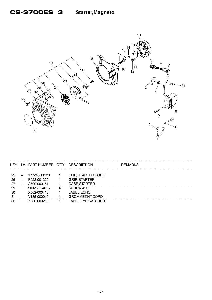

| <b>KEY</b>   | IV. | PART NUMBER Q'TY | <b>DESCRIPTION</b>        | <b>REMARKS</b> |
|--------------|-----|------------------|---------------------------|----------------|
|              |     |                  |                           |                |
| -25          |     | 177246-11120     | <b>CLIP, STARTER ROPE</b> |                |
| 26           |     | P022-001320      | <b>GRIP, STARTER</b>      |                |
| $^{27}$      |     | A500-000151      | CASE, STARTER             |                |
| 29           |     | 900238-04016     | SCREW 4*16                |                |
| -30          |     | X502-000410      | LABEL, ECHO               |                |
| -31          |     | V135-000010      | <b>GROMMET, HT CORD</b>   |                |
| $32^{\circ}$ |     | X530-000210      | LABEL,EYE CATCHER         |                |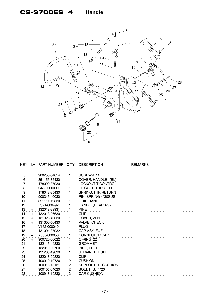#### **CS-3700ES 4 Handle**



| KEY LV          |     | PART NUMBER Q'TY |                | <b>DESCRIPTION</b>     | <b>REMARKS</b> |
|-----------------|-----|------------------|----------------|------------------------|----------------|
|                 |     |                  |                |                        |                |
| 5               |     | 900253-04014     | 1              | SCREW <sub>4</sub> *14 |                |
| 6               |     | 351155-35430     |                | COVER, HANDLE (BL)     |                |
|                 |     | 178090-37930     |                | LOCKOUT, T. CONTROL    |                |
| 8               |     | C450-000000      |                | TRIGGER, THROTTLE      |                |
| 9               |     | 178043-35430     |                | SPRING, THR.RETURN     |                |
| 10              |     | 900345-40030     |                | PIN, SPRING 4*30SUS    |                |
| $\overline{11}$ |     | 351111-19830     |                | <b>GRIP HANDLE</b>     |                |
| 12              |     | P021-006492      |                | HANDLE, REAR ASY       |                |
| 13              | $+$ | 132012-39931     |                | <b>PIPE</b>            |                |
| 14              | $+$ | 132013-26630     |                | <b>CLIP</b>            |                |
| 15              | $+$ | 131328-40630     |                | COVER, VENT            |                |
| .16             | $+$ | 131300-56430     |                | <b>VALVE, CHECK</b>    |                |
| 17              |     | V162-000040      |                | <b>PLUG</b>            |                |
| 18              |     | 131004-37932     |                | CAP ASY, FUEL          |                |
| 19              | $+$ | A365-000050      |                | CONNECTOR, CAP         |                |
| $\overline{20}$ | $+$ | 900720-00022     |                | O-RING 22              |                |
| 21              |     | 132115-44330     |                | <b>GROMMET</b>         |                |
| $\frac{22}{23}$ |     | 132010-00760     |                | PIPE, FUEL             |                |
|                 |     | 131205-19830     |                | STRAINER, FUEL         |                |
| 24              |     | 132013-09820     |                | <b>CLIP</b>            |                |
|                 |     | 100910-19730     | 2              | <b>CUSHION</b>         |                |
| $\frac{25}{26}$ |     | 100915-15131     | 2              | SUPPORTER, CUSHION     |                |
| 27              |     | 900105-04020     | $\overline{c}$ | BOLT, H.S. 4*20        |                |
| 28              |     | 100918-19830     | $\overline{c}$ | <b>CAP, CUSHION</b>    |                |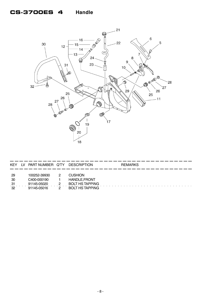#### **CS-3700ES 4 Handle**



| KEY                    | LV | PART NUMBER Q'TY                                          | <b>DESCRIPTION</b>                                                                         | <b>REMARKS</b> |  |
|------------------------|----|-----------------------------------------------------------|--------------------------------------------------------------------------------------------|----------------|--|
| -29<br>30<br>31<br>-32 |    | 100252-39930<br>C400-000190<br>91145-05020<br>91145-05016 | <b>CUSHION</b><br><b>HANDLE, FRONT</b><br><b>BOLT HS TAPPING</b><br><b>BOLT HS TAPPING</b> |                |  |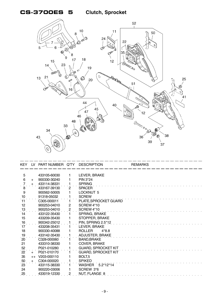### **CS-3700ES 5 Clutch, Sprocket**



|                 |      | KEY LV PART NUMBER Q'TY |                | <b>DESCRIPTION</b>           | <b>REMARKS</b> |
|-----------------|------|-------------------------|----------------|------------------------------|----------------|
|                 |      |                         |                |                              |                |
| 5               |      | 433105-60030            | 1              | LEVER, BRAKE                 |                |
| 6               | $+$  | 900330-30240            | 1              | PIN 3*24                     |                |
|                 | $+$  | 433114-38331            | 1              | <b>SPRING</b>                |                |
| 8               |      | 433167-39130            | $\mathbf{2}$   | <b>SPACER</b>                |                |
| 9               |      | 900562-50005            | 1              | LOCKNUT 5                    |                |
| 10              |      | 91318-05032             |                | <b>SCREW</b>                 |                |
| 11              |      | C305-000011             |                | PLATE, SPROCKET GUARD        |                |
| 12              |      | 900253-04010            | $\mathbf{2}$   | SCREW 4*10                   |                |
| 13              |      | 900253-04010            | $\overline{c}$ | SCREW 4*10                   |                |
| 14              |      | 433122-35430            | 1              | SPRING, BRAKE                |                |
| 15              |      | 433209-35430            | 1              | STOPPER, BRAKE               |                |
| .16             |      | 900342-25012            |                | PIN, SPRING 2.5*12           |                |
| 17              |      | 433208-35431            |                | LEVER, BRAKE                 |                |
| 18              |      | 900330-40088            |                | <b>ROLLER</b><br>$4*8.8$     |                |
| 19              |      | 433142-35430            |                | ADJUSTER, BRAKE              |                |
| $\overline{20}$ |      | C328-000060             |                | BAND, BRAKE                  |                |
| 21              |      | 433310-38330            |                | <b>COVER, BRAKE</b>          |                |
|                 |      | P021-010280             |                | <b>GUARD, SPROCKET KIT</b>   |                |
| $\frac{52}{22}$ | $+$  | P021-010170             |                | <b>GUARD, SPROCKET KIT</b>   |                |
| 35              | $++$ | V203-000110             |                | BOLT <sub>,5</sub>           |                |
| 50              | $+$  | C304-000020             |                | <b>SPIKED</b>                |                |
| 23              |      | 433115-38330            |                | $5.2*12*14$<br><b>WASHER</b> |                |
| 24              |      | 900220-03006            | 1              | SCREW 3*6                    |                |
| 25              |      | 433019-12330            | $\overline{c}$ | NUT, FLANGE 8                |                |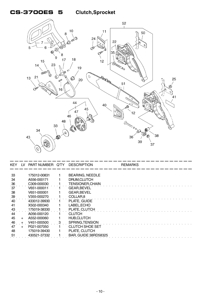

| <b>KEY</b>     | LV.    | PART NUMBER Q'TY DESCRIPTION |                             | <b>REMARKS</b> |  |
|----------------|--------|------------------------------|-----------------------------|----------------|--|
|                |        |                              |                             |                |  |
| 33             |        | 175012-00831                 | <b>BEARING, NEEDLE</b>      |                |  |
| 34             |        | A556-000171                  | DRUM, CLUTCH                |                |  |
| $\frac{36}{5}$ |        | C <sub>309</sub> -000030     | <b>TENSIONER, CHAIN</b>     |                |  |
| 37             |        | V651-000011                  | GEAR, BEVEL                 |                |  |
| 38             |        | V651-000001                  | GEAR, BEVEL                 |                |  |
| 39             |        | V355-000270                  | COLLAR <sub>.8</sub>        |                |  |
| $40^{\circ}$   |        | 433012-39930                 | PLATE, GUIDE                |                |  |
| 41             |        | X502-000340                  | LABEL, ECHO                 |                |  |
| .43            |        | 175019-38330                 | PLATE, CLUTCH               |                |  |
| 44             |        | A056-000120                  | <b>CLUTCH</b>               |                |  |
| 45             | $+$    | A552-000060                  | <b>HUB,CLUTCH</b>           |                |  |
| .46            | $+$    | V451-000500                  | SPRING, TENSION             |                |  |
| 47             | $^{+}$ | P021-007050                  | CLUTCH SHOE SET             |                |  |
| 48             |        | 175019-39430                 | PLATE, CLUTCH               |                |  |
| 51             |        | 430521-37332                 | <b>BAR, GUIDE 38RD58325</b> |                |  |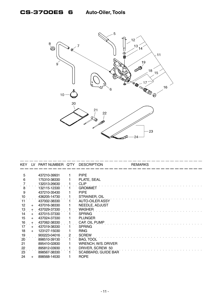

| <b>KEY</b>      | LV    | PART NUMBER Q'TY |                | <b>DESCRIPTION</b>         | <b>REMARKS</b> |
|-----------------|-------|------------------|----------------|----------------------------|----------------|
|                 |       |                  |                |                            |                |
| 5               |       | 437210-39931     |                | <b>PIPE</b>                |                |
| 6               |       | 175310-38330     |                | PLATE, SEAL                |                |
|                 |       | 132013-26630     |                | <b>CLIP</b>                |                |
| 8               |       | 132115-12330     |                | <b>GROMMET</b>             |                |
| 9               |       | 437210-35430     |                | <b>PIPE</b>                |                |
| 10              |       | 436205-14730     |                | STRAINER, OIL              |                |
| 11              |       | 437002-38330     |                | AUTO-OILER ASSY            |                |
| 12              | $+$   | 437016-38330     |                | NEEDLE, ADJUST             |                |
| 13              | $+$   | 437029-37330     |                | <b>WASHER</b>              |                |
| 14              | $+$   | 437015-37330     |                | <b>SPRING</b>              |                |
| 15              | $+$   | 437024-37330     |                | <b>PLUNGER</b>             |                |
| 16              | $+$   | 437062-38330     |                | CAP, OIL PUMP              |                |
| 17              | $+$   | 437019-38330     |                | <b>SPRING</b>              |                |
| 18              | $+$   | 123127-15030     |                | <b>RING</b>                |                |
| 19              |       | 900223-04016     | $\overline{2}$ | <b>SCREW</b>               |                |
| $20^{\circ}$    |       | 898510-39130     |                | BAG, TOOL                  |                |
| 21              |       | 895410-02830     |                | WRENCH, W/S. DRIVER        |                |
| $\frac{22}{23}$ |       | 895812-03930     |                | DRIVER, SCREW 50           |                |
|                 |       | 898567-38330     |                | <b>SCABBARD, GUIDE BAR</b> |                |
| 24              | $\pm$ | 898568-14530     |                | <b>ROPE</b>                |                |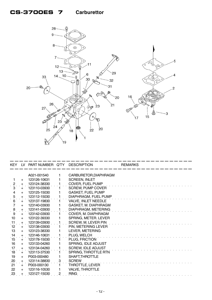### **CS-3700ES 7 Carburettor**



| <b>KEY</b>          | LV - | PART NUMBER Q'TY |                | <b>DESCRIPTION</b>         | <b>REMARKS</b> |
|---------------------|------|------------------|----------------|----------------------------|----------------|
|                     |      | A021-001540      |                | CARBURETOR, DIAPHRAGM      |                |
|                     |      | 123126-10631     |                | <b>SCREEN, INLET</b>       |                |
|                     | $+$  | 123124-38330     |                | <b>COVER, FUEL PUMP</b>    |                |
| $\ddot{z}$<br>3     | $+$  | 123110-03930     |                | <b>SCREW, PUMP COVER</b>   |                |
| $\overline{4}$      | $+$  | 123125-15030     |                |                            |                |
|                     | $+$  |                  |                | <b>GASKET, FUEL PUMP</b>   |                |
| $\mathbf 5$         | $+$  | 123112-15030     |                | DIAPHRAGM, FUEL PUMP       |                |
| 6                   | $+$  | 123137-19830     |                | VALVE, INLET NEEDLE        |                |
| $\overline{7}$      | $+$  | 123140-03930     |                | GASKET, M. DIAPHRAGM       |                |
| $\ddot{\mathbf{8}}$ | $+$  | 123141-03930     |                | DIAPHRAGM, METERING        |                |
| 9                   | $+$  | 123142-03930     | 1              | COVER, M. DIAPHRAGM        |                |
| 10                  | $+$  | 123122-39330     |                | SPRING, METER. LEVER       |                |
| 11                  | $+$  | 123139-03930     |                | <b>SCREW, M. LEVER PIN</b> |                |
| $12 \overline{ }$   | $+$  | 123138-03930     |                | PIN, METERING LEVER        |                |
| 13                  | $+$  | 123123-38330     |                | LEVER, METERING            |                |
| 14                  | $+$  | 123146-10631     |                | PLUG, WELCH                |                |
| 15                  | $+$  | 123178-15030     |                | PLUG, FRICTION             |                |
| 16                  | $+$  | 123133-04260     |                | SPRING, IDLE ADJUST        |                |
| 17                  | $+$  | 123134-04260     |                | <b>SCREW, IDLE ADJUST</b>  |                |
| 18                  | $+$  | 123113-37530     |                | SPRING, THROTTLE RTN       |                |
| 19                  | $+$  | P003-000480      |                | SHAFT, THROTTLE            |                |
| 20                  | $+$  | 123114-38830     | 3              | <b>SCREW</b>               |                |
| 21                  | $+$  | P003-000130      |                | THROTTLE, LEVER            |                |
| 22                  | $+$  | 123116-10530     | 1              | <b>VALVE, THROTTLE</b>     |                |
| 23                  |      | 123127-15030     | $\overline{2}$ | <b>RING</b>                |                |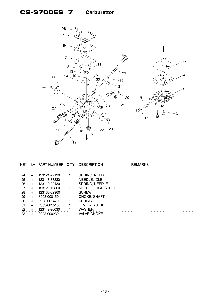### **CS-3700ES 7 Carburettor**



| KEY             |           | LV PART NUMBER Q'TY DESCRIPTION |   |                    | <b>REMARKS</b> |
|-----------------|-----------|---------------------------------|---|--------------------|----------------|
|                 |           |                                 |   |                    |                |
| -24             | $\div$    | 123121-22130                    |   | SPRING, NEEDLE     |                |
| 25              | $+$       | 123118-38330                    |   | NEEDLE, IDLE       |                |
| .26             |           | 123119-22130                    |   | SPRING, NEEDLE     |                |
| 27              |           | 123120-10860                    |   | NEEDLE, HIGH SPEED |                |
| 28              | $+$       | 123130-02960                    | 4 | <b>SCREW</b>       |                |
| 29              |           | P003-000150                     |   | CHOKE, SHAFT       |                |
| 30 <sup>°</sup> | $\div$    | P003-001470                     |   | <b>SPRING</b>      |                |
| -31             | $\ddot{}$ | P003-001510                     |   | LEVER-FAST IDLE    |                |
| 32              |           | 123149-26030                    |   | <b>WASHER</b>      |                |
| 33              |           | P003-000230                     |   | <b>VALVE CHOKE</b> |                |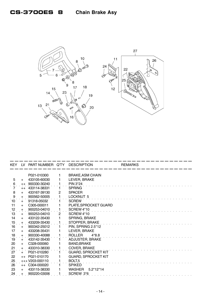

| KEY.             | LV.       | PART NUMBER Q'TY DESCRIPTION |              |                              | <b>REMARKS</b> |
|------------------|-----------|------------------------------|--------------|------------------------------|----------------|
|                  |           |                              |              |                              |                |
|                  |           | P021-010300                  | 1            | <b>BRAKE, ASM CHAIN</b>      |                |
| 5                | $\ddot{}$ | 433105-60030                 |              | LEVER, BRAKE                 |                |
| $6 \overline{6}$ | $++$      | 900330-30240                 |              | PIN 3*24                     |                |
| 7                | $++$      | 433114-38331                 |              | <b>SPRING</b>                |                |
| 8                | $+$       | 433167-39130                 | $\mathbf{2}$ | <b>SPACER</b>                |                |
| 9                | $+$       | 900562-50005                 |              | LOCKNUT <sub>5</sub>         |                |
| 10               | $+$       | 91318-05032                  |              | <b>SCREW</b>                 |                |
| 11               | $+$       | C305-000011                  |              | PLATE, SPROCKET GUARD        |                |
| 12               | $+$       | 900253-04010                 |              | SCREW 4*10                   |                |
| 13               | $+$       | 900253-04010                 | $\mathbf{2}$ | <b>SCREW 4*10</b>            |                |
| 14               | $+$       | 433122-35430                 |              | SPRING, BRAKE                |                |
| 15               | $+$       | 433209-35430                 |              | STOPPER, BRAKE               |                |
| 16               | $+$       | 900342-25012                 |              | PIN, SPRING 2.5*12           |                |
| 17               | $+$       | 433208-35431                 |              | LEVER, BRAKE                 |                |
| 18               | $+$       | 900330-40088                 |              | <b>ROLLER</b><br>4*8.8       |                |
| 19               | $+$       | 433142-35430                 |              | ADJUSTER, BRAKE              |                |
| 20               | $+$       | C328-000060                  |              | <b>BAND, BRAKE</b>           |                |
| $\frac{21}{27}$  | $+$       | 433310-38330                 |              | <b>COVER, BRAKE</b>          |                |
|                  | $+$       | P021-010280                  |              | <b>GUARD, SPROCKET KIT</b>   |                |
| 22               | $++$      | P021-010170                  |              | <b>GUARD, SPROCKET KIT</b>   |                |
| 25               |           | +++ V203-000110              |              | BOLT <sub>,5</sub>           |                |
| 26               | $++$      | C304-000020                  |              | <b>SPIKED</b>                |                |
| 23               | $+$       | 433115-38330                 |              | $5.2*12*14$<br><b>WASHER</b> |                |
| 24               |           | 900220-03006                 |              | SCREW 3*6                    |                |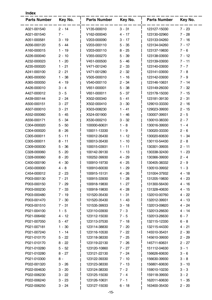| Key No.<br><b>Parts Number</b><br>Key No.<br><b>Parts Number</b><br>Key No.<br><b>Parts Number</b><br>$2 - 14$<br>A021-001540<br>V135-000010<br>$3 - 31$<br>123127-15030<br>$7 - 23$<br>$7 -$<br>V162-000040<br>$4 - 17$<br>$7 - 28$<br>A021-001540<br>123130-02960<br>A051-000581<br>$3 - 19$<br>V203-000090<br>$7 - 16$<br>$3 - 17$<br>123133-04260<br>V203-000110<br>A056-000120<br>5 - 44<br>$5 - 35$<br>123134-04260<br>$7 - 17$<br>V203-000110<br>$8 - 25$<br>$7 - 6$<br>A160-000015<br>1 - 19<br>123137-19830<br>A226-000040<br>$2 - 10$<br>V355-000270<br>$5 - 39$<br>123138-03930<br>$7 - 12$<br>$1 - 20$<br>V451-000500<br>123139-03930<br>$7 - 11$<br>A232-000023<br>$5 - 46$<br>$1 - 21$<br>V471-001240<br>$2 - 33$<br>$7 - 7$<br>A235-000020<br>123140-03930<br>$2 - 21$<br>V471-001280<br>$2 - 32$<br>$7 - 8$<br>A241-000100<br>123141-03930<br>$1 - 38$<br>V505-000010<br>$7 - 9$<br>A365-000050<br>$1 - 16$<br>123142-03930<br>A365-000050<br>$4 - 19$<br>V540-000110<br>$2 - 34$<br>123146-10631<br>$7 - 14$<br>$3 - 4$<br>V651-000001<br>$7 - 32$<br>A426-000010<br>$5 - 38$<br>123149-26030<br>$3 - 5$<br>V651-000011<br>A427-000012<br>$5 - 37$<br>123178-15030<br>$7 - 15$<br>$5 - 41$<br>A439-000144<br>$2 - 24$<br>X502-000340<br>123181-39130<br>$2 - 31$<br>A500-000151<br>$3 - 27$<br>X502-000410<br>129010-33330<br>$3 - 30$<br>$2 - 16$<br>$3 - 21$<br>X503-008230<br>$1 - 41$<br>A507-000010<br>129023-39930<br>2 - 15<br>$2 - 5$<br>A552-000060<br>$5 - 45$<br>X524-001900<br>$1 - 46$<br>130007-39931<br>$5 - 34$<br>$3 - 32$<br>130010-38330<br>A556-000171<br>X530-000210<br>$2 - 7$<br>100000-60631<br>$1 - 8$<br>130016-39930<br>C304-000020<br>$5 - 50$<br>1 - 4<br>$8 - 26$<br>100011-13330<br>$1 - 9$<br>C304-000020<br>130020-33330<br>$2 - 6$<br>C305-000011<br>$1 - 12$<br>$1 - 34$<br>$5 - 11$<br>100012-35430<br>130020-60630<br>$1 - 10$<br>130110-54430<br>$2 - 8$<br>C305-000011<br>$8 - 11$<br>100013-35430<br>C309-000030<br>100015-03931<br>$5 - 36$<br>$1 - 11$<br>130301-39935<br>2 - 11<br>100142-39130<br>C328-000060<br>$5 - 20$<br>$1 - 13$<br>130338-32430<br>1 - 23<br>$4 - 29$<br>C328-000060<br>$8 - 20$<br>100252-39930<br>130366-39930<br>$2 - 4$<br>$4 - 30$<br>C400-000190<br>100910-19730<br>$4 - 25$<br>130405-38332<br>$2 - 9$<br>C450-000000<br>$4 - 8$<br>100910-60030<br>130510-39932<br>$1 - 3$<br>1 - 29<br>C454-000012<br>$2 - 23$<br>100915-15131<br>$4 - 26$<br>131004-37932<br>4 - 18<br>P003-000130<br>100915-33930<br>$1 - 28$<br>131205-19830<br>$4 - 23$<br>$7 - 21$<br>P003-000150<br>$7 - 29$<br>100918-19830<br>$1 - 27$<br>131300-56430<br>4 - 16<br>P003-000230<br>$7 - 33$<br>100918-19830<br>4 - 28<br>131328-40630<br>4 - 15<br>$4 - 22$<br>P003-000480<br>7 - 19<br>101520-35430<br>$1 - 31$<br>132010-00760<br>P003-001470<br>$7 - 30$<br>101520-35430<br>$1 - 43$<br>132012-39931<br>4 - 13<br>101535-39933<br>$4 - 24$<br>P003-001510<br>$7 - 31$<br>$3 - 18$<br>132013-09820<br>$1 - 5$<br>123110-03930<br>$7 - 3$<br>4 - 14<br>P021-004100<br>132013-26630<br>$4 - 12$<br>$6 - 7$<br>P021-006492<br>123112-15030<br>$7 - 5$<br>132013-26630<br>P021-007050<br>$5 - 47$<br>123113-37530<br>7 - 18<br>132115-12330<br>$6 - 8$<br>$4 - 21$<br>P021-007181<br>$1 - 30$<br>123114-38830<br>$7 - 20$<br>132115-44330<br>P021-007240<br>$1 - 14$<br>123116-10530<br>145510-35431<br>$2 - 30$<br>$7 - 22$<br>145610-39930<br>$2 - 29$<br>P021-010170<br>$5 - 22$<br>123118-38330<br>7 - 25<br>123119-22130<br>$7 - 26$<br>145711-60631<br>$2 - 27$<br>P021-010170<br>$8 - 22$<br>$5 - 52$<br>$7 - 27$<br>151112-04630<br>$3 - 1$<br>P021-010280<br>123120-10860<br>$8 - 27$<br>123121-22130<br>$7 - 24$<br>156626-60630<br>P021-010280<br>$3 - 6$<br>$8 -$<br>P021-010300<br>123122-39330<br>$7 - 10$<br>156630-39930<br>$3 - 8$<br>P022-001320<br>$3 - 26$<br>$7 - 13$<br>123123-38330<br>156801-60630<br>$3 - 10$<br>P022-004630<br>$3 - 20$<br>$7 - 2$<br>$3 - 3$<br>123124-38330<br>159010-10230<br>P022-006230<br>123125-15030<br>$7 - 4$<br>159118-39930<br>$3 - 2$<br>$3 - 22$<br>$7 - 1$<br>162011-60630<br>$1 - 35$<br>P022-006240<br>$3 - 23$<br>123126-10631<br>P022-006250<br>123127-15030<br>163400-35430<br>$2 - 20$<br>$3 - 24$<br>$6 - 18$ | <b>Index</b> |  |  |  |
|-------------------------------------------------------------------------------------------------------------------------------------------------------------------------------------------------------------------------------------------------------------------------------------------------------------------------------------------------------------------------------------------------------------------------------------------------------------------------------------------------------------------------------------------------------------------------------------------------------------------------------------------------------------------------------------------------------------------------------------------------------------------------------------------------------------------------------------------------------------------------------------------------------------------------------------------------------------------------------------------------------------------------------------------------------------------------------------------------------------------------------------------------------------------------------------------------------------------------------------------------------------------------------------------------------------------------------------------------------------------------------------------------------------------------------------------------------------------------------------------------------------------------------------------------------------------------------------------------------------------------------------------------------------------------------------------------------------------------------------------------------------------------------------------------------------------------------------------------------------------------------------------------------------------------------------------------------------------------------------------------------------------------------------------------------------------------------------------------------------------------------------------------------------------------------------------------------------------------------------------------------------------------------------------------------------------------------------------------------------------------------------------------------------------------------------------------------------------------------------------------------------------------------------------------------------------------------------------------------------------------------------------------------------------------------------------------------------------------------------------------------------------------------------------------------------------------------------------------------------------------------------------------------------------------------------------------------------------------------------------------------------------------------------------------------------------------------------------------------------------------------------------------------------------------------------------------------------------------------------------------------------------------------------------------------------------------------------------------------------------------------------------------------------------------------------------------------------------------------------------------------------------------------------------------------------------------------------------------------------------------------------------------------------------------------------------------------------------------------------------------------------------------------------------------------------------------------------------------------------------------------------------------------------------------------------------------------------------------------------------------------------------------------------------------------------------------------------------------------------------------------------------------------------------------------------------------------------------------------------------------|--------------|--|--|--|
|                                                                                                                                                                                                                                                                                                                                                                                                                                                                                                                                                                                                                                                                                                                                                                                                                                                                                                                                                                                                                                                                                                                                                                                                                                                                                                                                                                                                                                                                                                                                                                                                                                                                                                                                                                                                                                                                                                                                                                                                                                                                                                                                                                                                                                                                                                                                                                                                                                                                                                                                                                                                                                                                                                                                                                                                                                                                                                                                                                                                                                                                                                                                                                                                                                                                                                                                                                                                                                                                                                                                                                                                                                                                                                                                                                                                                                                                                                                                                                                                                                                                                                                                                                                                                                                 |              |  |  |  |
|                                                                                                                                                                                                                                                                                                                                                                                                                                                                                                                                                                                                                                                                                                                                                                                                                                                                                                                                                                                                                                                                                                                                                                                                                                                                                                                                                                                                                                                                                                                                                                                                                                                                                                                                                                                                                                                                                                                                                                                                                                                                                                                                                                                                                                                                                                                                                                                                                                                                                                                                                                                                                                                                                                                                                                                                                                                                                                                                                                                                                                                                                                                                                                                                                                                                                                                                                                                                                                                                                                                                                                                                                                                                                                                                                                                                                                                                                                                                                                                                                                                                                                                                                                                                                                                 |              |  |  |  |
|                                                                                                                                                                                                                                                                                                                                                                                                                                                                                                                                                                                                                                                                                                                                                                                                                                                                                                                                                                                                                                                                                                                                                                                                                                                                                                                                                                                                                                                                                                                                                                                                                                                                                                                                                                                                                                                                                                                                                                                                                                                                                                                                                                                                                                                                                                                                                                                                                                                                                                                                                                                                                                                                                                                                                                                                                                                                                                                                                                                                                                                                                                                                                                                                                                                                                                                                                                                                                                                                                                                                                                                                                                                                                                                                                                                                                                                                                                                                                                                                                                                                                                                                                                                                                                                 |              |  |  |  |
|                                                                                                                                                                                                                                                                                                                                                                                                                                                                                                                                                                                                                                                                                                                                                                                                                                                                                                                                                                                                                                                                                                                                                                                                                                                                                                                                                                                                                                                                                                                                                                                                                                                                                                                                                                                                                                                                                                                                                                                                                                                                                                                                                                                                                                                                                                                                                                                                                                                                                                                                                                                                                                                                                                                                                                                                                                                                                                                                                                                                                                                                                                                                                                                                                                                                                                                                                                                                                                                                                                                                                                                                                                                                                                                                                                                                                                                                                                                                                                                                                                                                                                                                                                                                                                                 |              |  |  |  |
|                                                                                                                                                                                                                                                                                                                                                                                                                                                                                                                                                                                                                                                                                                                                                                                                                                                                                                                                                                                                                                                                                                                                                                                                                                                                                                                                                                                                                                                                                                                                                                                                                                                                                                                                                                                                                                                                                                                                                                                                                                                                                                                                                                                                                                                                                                                                                                                                                                                                                                                                                                                                                                                                                                                                                                                                                                                                                                                                                                                                                                                                                                                                                                                                                                                                                                                                                                                                                                                                                                                                                                                                                                                                                                                                                                                                                                                                                                                                                                                                                                                                                                                                                                                                                                                 |              |  |  |  |
|                                                                                                                                                                                                                                                                                                                                                                                                                                                                                                                                                                                                                                                                                                                                                                                                                                                                                                                                                                                                                                                                                                                                                                                                                                                                                                                                                                                                                                                                                                                                                                                                                                                                                                                                                                                                                                                                                                                                                                                                                                                                                                                                                                                                                                                                                                                                                                                                                                                                                                                                                                                                                                                                                                                                                                                                                                                                                                                                                                                                                                                                                                                                                                                                                                                                                                                                                                                                                                                                                                                                                                                                                                                                                                                                                                                                                                                                                                                                                                                                                                                                                                                                                                                                                                                 |              |  |  |  |
|                                                                                                                                                                                                                                                                                                                                                                                                                                                                                                                                                                                                                                                                                                                                                                                                                                                                                                                                                                                                                                                                                                                                                                                                                                                                                                                                                                                                                                                                                                                                                                                                                                                                                                                                                                                                                                                                                                                                                                                                                                                                                                                                                                                                                                                                                                                                                                                                                                                                                                                                                                                                                                                                                                                                                                                                                                                                                                                                                                                                                                                                                                                                                                                                                                                                                                                                                                                                                                                                                                                                                                                                                                                                                                                                                                                                                                                                                                                                                                                                                                                                                                                                                                                                                                                 |              |  |  |  |
|                                                                                                                                                                                                                                                                                                                                                                                                                                                                                                                                                                                                                                                                                                                                                                                                                                                                                                                                                                                                                                                                                                                                                                                                                                                                                                                                                                                                                                                                                                                                                                                                                                                                                                                                                                                                                                                                                                                                                                                                                                                                                                                                                                                                                                                                                                                                                                                                                                                                                                                                                                                                                                                                                                                                                                                                                                                                                                                                                                                                                                                                                                                                                                                                                                                                                                                                                                                                                                                                                                                                                                                                                                                                                                                                                                                                                                                                                                                                                                                                                                                                                                                                                                                                                                                 |              |  |  |  |
|                                                                                                                                                                                                                                                                                                                                                                                                                                                                                                                                                                                                                                                                                                                                                                                                                                                                                                                                                                                                                                                                                                                                                                                                                                                                                                                                                                                                                                                                                                                                                                                                                                                                                                                                                                                                                                                                                                                                                                                                                                                                                                                                                                                                                                                                                                                                                                                                                                                                                                                                                                                                                                                                                                                                                                                                                                                                                                                                                                                                                                                                                                                                                                                                                                                                                                                                                                                                                                                                                                                                                                                                                                                                                                                                                                                                                                                                                                                                                                                                                                                                                                                                                                                                                                                 |              |  |  |  |
|                                                                                                                                                                                                                                                                                                                                                                                                                                                                                                                                                                                                                                                                                                                                                                                                                                                                                                                                                                                                                                                                                                                                                                                                                                                                                                                                                                                                                                                                                                                                                                                                                                                                                                                                                                                                                                                                                                                                                                                                                                                                                                                                                                                                                                                                                                                                                                                                                                                                                                                                                                                                                                                                                                                                                                                                                                                                                                                                                                                                                                                                                                                                                                                                                                                                                                                                                                                                                                                                                                                                                                                                                                                                                                                                                                                                                                                                                                                                                                                                                                                                                                                                                                                                                                                 |              |  |  |  |
|                                                                                                                                                                                                                                                                                                                                                                                                                                                                                                                                                                                                                                                                                                                                                                                                                                                                                                                                                                                                                                                                                                                                                                                                                                                                                                                                                                                                                                                                                                                                                                                                                                                                                                                                                                                                                                                                                                                                                                                                                                                                                                                                                                                                                                                                                                                                                                                                                                                                                                                                                                                                                                                                                                                                                                                                                                                                                                                                                                                                                                                                                                                                                                                                                                                                                                                                                                                                                                                                                                                                                                                                                                                                                                                                                                                                                                                                                                                                                                                                                                                                                                                                                                                                                                                 |              |  |  |  |
|                                                                                                                                                                                                                                                                                                                                                                                                                                                                                                                                                                                                                                                                                                                                                                                                                                                                                                                                                                                                                                                                                                                                                                                                                                                                                                                                                                                                                                                                                                                                                                                                                                                                                                                                                                                                                                                                                                                                                                                                                                                                                                                                                                                                                                                                                                                                                                                                                                                                                                                                                                                                                                                                                                                                                                                                                                                                                                                                                                                                                                                                                                                                                                                                                                                                                                                                                                                                                                                                                                                                                                                                                                                                                                                                                                                                                                                                                                                                                                                                                                                                                                                                                                                                                                                 |              |  |  |  |
|                                                                                                                                                                                                                                                                                                                                                                                                                                                                                                                                                                                                                                                                                                                                                                                                                                                                                                                                                                                                                                                                                                                                                                                                                                                                                                                                                                                                                                                                                                                                                                                                                                                                                                                                                                                                                                                                                                                                                                                                                                                                                                                                                                                                                                                                                                                                                                                                                                                                                                                                                                                                                                                                                                                                                                                                                                                                                                                                                                                                                                                                                                                                                                                                                                                                                                                                                                                                                                                                                                                                                                                                                                                                                                                                                                                                                                                                                                                                                                                                                                                                                                                                                                                                                                                 |              |  |  |  |
|                                                                                                                                                                                                                                                                                                                                                                                                                                                                                                                                                                                                                                                                                                                                                                                                                                                                                                                                                                                                                                                                                                                                                                                                                                                                                                                                                                                                                                                                                                                                                                                                                                                                                                                                                                                                                                                                                                                                                                                                                                                                                                                                                                                                                                                                                                                                                                                                                                                                                                                                                                                                                                                                                                                                                                                                                                                                                                                                                                                                                                                                                                                                                                                                                                                                                                                                                                                                                                                                                                                                                                                                                                                                                                                                                                                                                                                                                                                                                                                                                                                                                                                                                                                                                                                 |              |  |  |  |
|                                                                                                                                                                                                                                                                                                                                                                                                                                                                                                                                                                                                                                                                                                                                                                                                                                                                                                                                                                                                                                                                                                                                                                                                                                                                                                                                                                                                                                                                                                                                                                                                                                                                                                                                                                                                                                                                                                                                                                                                                                                                                                                                                                                                                                                                                                                                                                                                                                                                                                                                                                                                                                                                                                                                                                                                                                                                                                                                                                                                                                                                                                                                                                                                                                                                                                                                                                                                                                                                                                                                                                                                                                                                                                                                                                                                                                                                                                                                                                                                                                                                                                                                                                                                                                                 |              |  |  |  |
|                                                                                                                                                                                                                                                                                                                                                                                                                                                                                                                                                                                                                                                                                                                                                                                                                                                                                                                                                                                                                                                                                                                                                                                                                                                                                                                                                                                                                                                                                                                                                                                                                                                                                                                                                                                                                                                                                                                                                                                                                                                                                                                                                                                                                                                                                                                                                                                                                                                                                                                                                                                                                                                                                                                                                                                                                                                                                                                                                                                                                                                                                                                                                                                                                                                                                                                                                                                                                                                                                                                                                                                                                                                                                                                                                                                                                                                                                                                                                                                                                                                                                                                                                                                                                                                 |              |  |  |  |
|                                                                                                                                                                                                                                                                                                                                                                                                                                                                                                                                                                                                                                                                                                                                                                                                                                                                                                                                                                                                                                                                                                                                                                                                                                                                                                                                                                                                                                                                                                                                                                                                                                                                                                                                                                                                                                                                                                                                                                                                                                                                                                                                                                                                                                                                                                                                                                                                                                                                                                                                                                                                                                                                                                                                                                                                                                                                                                                                                                                                                                                                                                                                                                                                                                                                                                                                                                                                                                                                                                                                                                                                                                                                                                                                                                                                                                                                                                                                                                                                                                                                                                                                                                                                                                                 |              |  |  |  |
|                                                                                                                                                                                                                                                                                                                                                                                                                                                                                                                                                                                                                                                                                                                                                                                                                                                                                                                                                                                                                                                                                                                                                                                                                                                                                                                                                                                                                                                                                                                                                                                                                                                                                                                                                                                                                                                                                                                                                                                                                                                                                                                                                                                                                                                                                                                                                                                                                                                                                                                                                                                                                                                                                                                                                                                                                                                                                                                                                                                                                                                                                                                                                                                                                                                                                                                                                                                                                                                                                                                                                                                                                                                                                                                                                                                                                                                                                                                                                                                                                                                                                                                                                                                                                                                 |              |  |  |  |
|                                                                                                                                                                                                                                                                                                                                                                                                                                                                                                                                                                                                                                                                                                                                                                                                                                                                                                                                                                                                                                                                                                                                                                                                                                                                                                                                                                                                                                                                                                                                                                                                                                                                                                                                                                                                                                                                                                                                                                                                                                                                                                                                                                                                                                                                                                                                                                                                                                                                                                                                                                                                                                                                                                                                                                                                                                                                                                                                                                                                                                                                                                                                                                                                                                                                                                                                                                                                                                                                                                                                                                                                                                                                                                                                                                                                                                                                                                                                                                                                                                                                                                                                                                                                                                                 |              |  |  |  |
|                                                                                                                                                                                                                                                                                                                                                                                                                                                                                                                                                                                                                                                                                                                                                                                                                                                                                                                                                                                                                                                                                                                                                                                                                                                                                                                                                                                                                                                                                                                                                                                                                                                                                                                                                                                                                                                                                                                                                                                                                                                                                                                                                                                                                                                                                                                                                                                                                                                                                                                                                                                                                                                                                                                                                                                                                                                                                                                                                                                                                                                                                                                                                                                                                                                                                                                                                                                                                                                                                                                                                                                                                                                                                                                                                                                                                                                                                                                                                                                                                                                                                                                                                                                                                                                 |              |  |  |  |
|                                                                                                                                                                                                                                                                                                                                                                                                                                                                                                                                                                                                                                                                                                                                                                                                                                                                                                                                                                                                                                                                                                                                                                                                                                                                                                                                                                                                                                                                                                                                                                                                                                                                                                                                                                                                                                                                                                                                                                                                                                                                                                                                                                                                                                                                                                                                                                                                                                                                                                                                                                                                                                                                                                                                                                                                                                                                                                                                                                                                                                                                                                                                                                                                                                                                                                                                                                                                                                                                                                                                                                                                                                                                                                                                                                                                                                                                                                                                                                                                                                                                                                                                                                                                                                                 |              |  |  |  |
|                                                                                                                                                                                                                                                                                                                                                                                                                                                                                                                                                                                                                                                                                                                                                                                                                                                                                                                                                                                                                                                                                                                                                                                                                                                                                                                                                                                                                                                                                                                                                                                                                                                                                                                                                                                                                                                                                                                                                                                                                                                                                                                                                                                                                                                                                                                                                                                                                                                                                                                                                                                                                                                                                                                                                                                                                                                                                                                                                                                                                                                                                                                                                                                                                                                                                                                                                                                                                                                                                                                                                                                                                                                                                                                                                                                                                                                                                                                                                                                                                                                                                                                                                                                                                                                 |              |  |  |  |
|                                                                                                                                                                                                                                                                                                                                                                                                                                                                                                                                                                                                                                                                                                                                                                                                                                                                                                                                                                                                                                                                                                                                                                                                                                                                                                                                                                                                                                                                                                                                                                                                                                                                                                                                                                                                                                                                                                                                                                                                                                                                                                                                                                                                                                                                                                                                                                                                                                                                                                                                                                                                                                                                                                                                                                                                                                                                                                                                                                                                                                                                                                                                                                                                                                                                                                                                                                                                                                                                                                                                                                                                                                                                                                                                                                                                                                                                                                                                                                                                                                                                                                                                                                                                                                                 |              |  |  |  |
|                                                                                                                                                                                                                                                                                                                                                                                                                                                                                                                                                                                                                                                                                                                                                                                                                                                                                                                                                                                                                                                                                                                                                                                                                                                                                                                                                                                                                                                                                                                                                                                                                                                                                                                                                                                                                                                                                                                                                                                                                                                                                                                                                                                                                                                                                                                                                                                                                                                                                                                                                                                                                                                                                                                                                                                                                                                                                                                                                                                                                                                                                                                                                                                                                                                                                                                                                                                                                                                                                                                                                                                                                                                                                                                                                                                                                                                                                                                                                                                                                                                                                                                                                                                                                                                 |              |  |  |  |
|                                                                                                                                                                                                                                                                                                                                                                                                                                                                                                                                                                                                                                                                                                                                                                                                                                                                                                                                                                                                                                                                                                                                                                                                                                                                                                                                                                                                                                                                                                                                                                                                                                                                                                                                                                                                                                                                                                                                                                                                                                                                                                                                                                                                                                                                                                                                                                                                                                                                                                                                                                                                                                                                                                                                                                                                                                                                                                                                                                                                                                                                                                                                                                                                                                                                                                                                                                                                                                                                                                                                                                                                                                                                                                                                                                                                                                                                                                                                                                                                                                                                                                                                                                                                                                                 |              |  |  |  |
|                                                                                                                                                                                                                                                                                                                                                                                                                                                                                                                                                                                                                                                                                                                                                                                                                                                                                                                                                                                                                                                                                                                                                                                                                                                                                                                                                                                                                                                                                                                                                                                                                                                                                                                                                                                                                                                                                                                                                                                                                                                                                                                                                                                                                                                                                                                                                                                                                                                                                                                                                                                                                                                                                                                                                                                                                                                                                                                                                                                                                                                                                                                                                                                                                                                                                                                                                                                                                                                                                                                                                                                                                                                                                                                                                                                                                                                                                                                                                                                                                                                                                                                                                                                                                                                 |              |  |  |  |
|                                                                                                                                                                                                                                                                                                                                                                                                                                                                                                                                                                                                                                                                                                                                                                                                                                                                                                                                                                                                                                                                                                                                                                                                                                                                                                                                                                                                                                                                                                                                                                                                                                                                                                                                                                                                                                                                                                                                                                                                                                                                                                                                                                                                                                                                                                                                                                                                                                                                                                                                                                                                                                                                                                                                                                                                                                                                                                                                                                                                                                                                                                                                                                                                                                                                                                                                                                                                                                                                                                                                                                                                                                                                                                                                                                                                                                                                                                                                                                                                                                                                                                                                                                                                                                                 |              |  |  |  |
|                                                                                                                                                                                                                                                                                                                                                                                                                                                                                                                                                                                                                                                                                                                                                                                                                                                                                                                                                                                                                                                                                                                                                                                                                                                                                                                                                                                                                                                                                                                                                                                                                                                                                                                                                                                                                                                                                                                                                                                                                                                                                                                                                                                                                                                                                                                                                                                                                                                                                                                                                                                                                                                                                                                                                                                                                                                                                                                                                                                                                                                                                                                                                                                                                                                                                                                                                                                                                                                                                                                                                                                                                                                                                                                                                                                                                                                                                                                                                                                                                                                                                                                                                                                                                                                 |              |  |  |  |
|                                                                                                                                                                                                                                                                                                                                                                                                                                                                                                                                                                                                                                                                                                                                                                                                                                                                                                                                                                                                                                                                                                                                                                                                                                                                                                                                                                                                                                                                                                                                                                                                                                                                                                                                                                                                                                                                                                                                                                                                                                                                                                                                                                                                                                                                                                                                                                                                                                                                                                                                                                                                                                                                                                                                                                                                                                                                                                                                                                                                                                                                                                                                                                                                                                                                                                                                                                                                                                                                                                                                                                                                                                                                                                                                                                                                                                                                                                                                                                                                                                                                                                                                                                                                                                                 |              |  |  |  |
|                                                                                                                                                                                                                                                                                                                                                                                                                                                                                                                                                                                                                                                                                                                                                                                                                                                                                                                                                                                                                                                                                                                                                                                                                                                                                                                                                                                                                                                                                                                                                                                                                                                                                                                                                                                                                                                                                                                                                                                                                                                                                                                                                                                                                                                                                                                                                                                                                                                                                                                                                                                                                                                                                                                                                                                                                                                                                                                                                                                                                                                                                                                                                                                                                                                                                                                                                                                                                                                                                                                                                                                                                                                                                                                                                                                                                                                                                                                                                                                                                                                                                                                                                                                                                                                 |              |  |  |  |
|                                                                                                                                                                                                                                                                                                                                                                                                                                                                                                                                                                                                                                                                                                                                                                                                                                                                                                                                                                                                                                                                                                                                                                                                                                                                                                                                                                                                                                                                                                                                                                                                                                                                                                                                                                                                                                                                                                                                                                                                                                                                                                                                                                                                                                                                                                                                                                                                                                                                                                                                                                                                                                                                                                                                                                                                                                                                                                                                                                                                                                                                                                                                                                                                                                                                                                                                                                                                                                                                                                                                                                                                                                                                                                                                                                                                                                                                                                                                                                                                                                                                                                                                                                                                                                                 |              |  |  |  |
|                                                                                                                                                                                                                                                                                                                                                                                                                                                                                                                                                                                                                                                                                                                                                                                                                                                                                                                                                                                                                                                                                                                                                                                                                                                                                                                                                                                                                                                                                                                                                                                                                                                                                                                                                                                                                                                                                                                                                                                                                                                                                                                                                                                                                                                                                                                                                                                                                                                                                                                                                                                                                                                                                                                                                                                                                                                                                                                                                                                                                                                                                                                                                                                                                                                                                                                                                                                                                                                                                                                                                                                                                                                                                                                                                                                                                                                                                                                                                                                                                                                                                                                                                                                                                                                 |              |  |  |  |
|                                                                                                                                                                                                                                                                                                                                                                                                                                                                                                                                                                                                                                                                                                                                                                                                                                                                                                                                                                                                                                                                                                                                                                                                                                                                                                                                                                                                                                                                                                                                                                                                                                                                                                                                                                                                                                                                                                                                                                                                                                                                                                                                                                                                                                                                                                                                                                                                                                                                                                                                                                                                                                                                                                                                                                                                                                                                                                                                                                                                                                                                                                                                                                                                                                                                                                                                                                                                                                                                                                                                                                                                                                                                                                                                                                                                                                                                                                                                                                                                                                                                                                                                                                                                                                                 |              |  |  |  |
|                                                                                                                                                                                                                                                                                                                                                                                                                                                                                                                                                                                                                                                                                                                                                                                                                                                                                                                                                                                                                                                                                                                                                                                                                                                                                                                                                                                                                                                                                                                                                                                                                                                                                                                                                                                                                                                                                                                                                                                                                                                                                                                                                                                                                                                                                                                                                                                                                                                                                                                                                                                                                                                                                                                                                                                                                                                                                                                                                                                                                                                                                                                                                                                                                                                                                                                                                                                                                                                                                                                                                                                                                                                                                                                                                                                                                                                                                                                                                                                                                                                                                                                                                                                                                                                 |              |  |  |  |
|                                                                                                                                                                                                                                                                                                                                                                                                                                                                                                                                                                                                                                                                                                                                                                                                                                                                                                                                                                                                                                                                                                                                                                                                                                                                                                                                                                                                                                                                                                                                                                                                                                                                                                                                                                                                                                                                                                                                                                                                                                                                                                                                                                                                                                                                                                                                                                                                                                                                                                                                                                                                                                                                                                                                                                                                                                                                                                                                                                                                                                                                                                                                                                                                                                                                                                                                                                                                                                                                                                                                                                                                                                                                                                                                                                                                                                                                                                                                                                                                                                                                                                                                                                                                                                                 |              |  |  |  |
|                                                                                                                                                                                                                                                                                                                                                                                                                                                                                                                                                                                                                                                                                                                                                                                                                                                                                                                                                                                                                                                                                                                                                                                                                                                                                                                                                                                                                                                                                                                                                                                                                                                                                                                                                                                                                                                                                                                                                                                                                                                                                                                                                                                                                                                                                                                                                                                                                                                                                                                                                                                                                                                                                                                                                                                                                                                                                                                                                                                                                                                                                                                                                                                                                                                                                                                                                                                                                                                                                                                                                                                                                                                                                                                                                                                                                                                                                                                                                                                                                                                                                                                                                                                                                                                 |              |  |  |  |
|                                                                                                                                                                                                                                                                                                                                                                                                                                                                                                                                                                                                                                                                                                                                                                                                                                                                                                                                                                                                                                                                                                                                                                                                                                                                                                                                                                                                                                                                                                                                                                                                                                                                                                                                                                                                                                                                                                                                                                                                                                                                                                                                                                                                                                                                                                                                                                                                                                                                                                                                                                                                                                                                                                                                                                                                                                                                                                                                                                                                                                                                                                                                                                                                                                                                                                                                                                                                                                                                                                                                                                                                                                                                                                                                                                                                                                                                                                                                                                                                                                                                                                                                                                                                                                                 |              |  |  |  |
|                                                                                                                                                                                                                                                                                                                                                                                                                                                                                                                                                                                                                                                                                                                                                                                                                                                                                                                                                                                                                                                                                                                                                                                                                                                                                                                                                                                                                                                                                                                                                                                                                                                                                                                                                                                                                                                                                                                                                                                                                                                                                                                                                                                                                                                                                                                                                                                                                                                                                                                                                                                                                                                                                                                                                                                                                                                                                                                                                                                                                                                                                                                                                                                                                                                                                                                                                                                                                                                                                                                                                                                                                                                                                                                                                                                                                                                                                                                                                                                                                                                                                                                                                                                                                                                 |              |  |  |  |
|                                                                                                                                                                                                                                                                                                                                                                                                                                                                                                                                                                                                                                                                                                                                                                                                                                                                                                                                                                                                                                                                                                                                                                                                                                                                                                                                                                                                                                                                                                                                                                                                                                                                                                                                                                                                                                                                                                                                                                                                                                                                                                                                                                                                                                                                                                                                                                                                                                                                                                                                                                                                                                                                                                                                                                                                                                                                                                                                                                                                                                                                                                                                                                                                                                                                                                                                                                                                                                                                                                                                                                                                                                                                                                                                                                                                                                                                                                                                                                                                                                                                                                                                                                                                                                                 |              |  |  |  |
|                                                                                                                                                                                                                                                                                                                                                                                                                                                                                                                                                                                                                                                                                                                                                                                                                                                                                                                                                                                                                                                                                                                                                                                                                                                                                                                                                                                                                                                                                                                                                                                                                                                                                                                                                                                                                                                                                                                                                                                                                                                                                                                                                                                                                                                                                                                                                                                                                                                                                                                                                                                                                                                                                                                                                                                                                                                                                                                                                                                                                                                                                                                                                                                                                                                                                                                                                                                                                                                                                                                                                                                                                                                                                                                                                                                                                                                                                                                                                                                                                                                                                                                                                                                                                                                 |              |  |  |  |
|                                                                                                                                                                                                                                                                                                                                                                                                                                                                                                                                                                                                                                                                                                                                                                                                                                                                                                                                                                                                                                                                                                                                                                                                                                                                                                                                                                                                                                                                                                                                                                                                                                                                                                                                                                                                                                                                                                                                                                                                                                                                                                                                                                                                                                                                                                                                                                                                                                                                                                                                                                                                                                                                                                                                                                                                                                                                                                                                                                                                                                                                                                                                                                                                                                                                                                                                                                                                                                                                                                                                                                                                                                                                                                                                                                                                                                                                                                                                                                                                                                                                                                                                                                                                                                                 |              |  |  |  |
|                                                                                                                                                                                                                                                                                                                                                                                                                                                                                                                                                                                                                                                                                                                                                                                                                                                                                                                                                                                                                                                                                                                                                                                                                                                                                                                                                                                                                                                                                                                                                                                                                                                                                                                                                                                                                                                                                                                                                                                                                                                                                                                                                                                                                                                                                                                                                                                                                                                                                                                                                                                                                                                                                                                                                                                                                                                                                                                                                                                                                                                                                                                                                                                                                                                                                                                                                                                                                                                                                                                                                                                                                                                                                                                                                                                                                                                                                                                                                                                                                                                                                                                                                                                                                                                 |              |  |  |  |
|                                                                                                                                                                                                                                                                                                                                                                                                                                                                                                                                                                                                                                                                                                                                                                                                                                                                                                                                                                                                                                                                                                                                                                                                                                                                                                                                                                                                                                                                                                                                                                                                                                                                                                                                                                                                                                                                                                                                                                                                                                                                                                                                                                                                                                                                                                                                                                                                                                                                                                                                                                                                                                                                                                                                                                                                                                                                                                                                                                                                                                                                                                                                                                                                                                                                                                                                                                                                                                                                                                                                                                                                                                                                                                                                                                                                                                                                                                                                                                                                                                                                                                                                                                                                                                                 |              |  |  |  |
|                                                                                                                                                                                                                                                                                                                                                                                                                                                                                                                                                                                                                                                                                                                                                                                                                                                                                                                                                                                                                                                                                                                                                                                                                                                                                                                                                                                                                                                                                                                                                                                                                                                                                                                                                                                                                                                                                                                                                                                                                                                                                                                                                                                                                                                                                                                                                                                                                                                                                                                                                                                                                                                                                                                                                                                                                                                                                                                                                                                                                                                                                                                                                                                                                                                                                                                                                                                                                                                                                                                                                                                                                                                                                                                                                                                                                                                                                                                                                                                                                                                                                                                                                                                                                                                 |              |  |  |  |
|                                                                                                                                                                                                                                                                                                                                                                                                                                                                                                                                                                                                                                                                                                                                                                                                                                                                                                                                                                                                                                                                                                                                                                                                                                                                                                                                                                                                                                                                                                                                                                                                                                                                                                                                                                                                                                                                                                                                                                                                                                                                                                                                                                                                                                                                                                                                                                                                                                                                                                                                                                                                                                                                                                                                                                                                                                                                                                                                                                                                                                                                                                                                                                                                                                                                                                                                                                                                                                                                                                                                                                                                                                                                                                                                                                                                                                                                                                                                                                                                                                                                                                                                                                                                                                                 |              |  |  |  |
|                                                                                                                                                                                                                                                                                                                                                                                                                                                                                                                                                                                                                                                                                                                                                                                                                                                                                                                                                                                                                                                                                                                                                                                                                                                                                                                                                                                                                                                                                                                                                                                                                                                                                                                                                                                                                                                                                                                                                                                                                                                                                                                                                                                                                                                                                                                                                                                                                                                                                                                                                                                                                                                                                                                                                                                                                                                                                                                                                                                                                                                                                                                                                                                                                                                                                                                                                                                                                                                                                                                                                                                                                                                                                                                                                                                                                                                                                                                                                                                                                                                                                                                                                                                                                                                 |              |  |  |  |
|                                                                                                                                                                                                                                                                                                                                                                                                                                                                                                                                                                                                                                                                                                                                                                                                                                                                                                                                                                                                                                                                                                                                                                                                                                                                                                                                                                                                                                                                                                                                                                                                                                                                                                                                                                                                                                                                                                                                                                                                                                                                                                                                                                                                                                                                                                                                                                                                                                                                                                                                                                                                                                                                                                                                                                                                                                                                                                                                                                                                                                                                                                                                                                                                                                                                                                                                                                                                                                                                                                                                                                                                                                                                                                                                                                                                                                                                                                                                                                                                                                                                                                                                                                                                                                                 |              |  |  |  |
|                                                                                                                                                                                                                                                                                                                                                                                                                                                                                                                                                                                                                                                                                                                                                                                                                                                                                                                                                                                                                                                                                                                                                                                                                                                                                                                                                                                                                                                                                                                                                                                                                                                                                                                                                                                                                                                                                                                                                                                                                                                                                                                                                                                                                                                                                                                                                                                                                                                                                                                                                                                                                                                                                                                                                                                                                                                                                                                                                                                                                                                                                                                                                                                                                                                                                                                                                                                                                                                                                                                                                                                                                                                                                                                                                                                                                                                                                                                                                                                                                                                                                                                                                                                                                                                 |              |  |  |  |
|                                                                                                                                                                                                                                                                                                                                                                                                                                                                                                                                                                                                                                                                                                                                                                                                                                                                                                                                                                                                                                                                                                                                                                                                                                                                                                                                                                                                                                                                                                                                                                                                                                                                                                                                                                                                                                                                                                                                                                                                                                                                                                                                                                                                                                                                                                                                                                                                                                                                                                                                                                                                                                                                                                                                                                                                                                                                                                                                                                                                                                                                                                                                                                                                                                                                                                                                                                                                                                                                                                                                                                                                                                                                                                                                                                                                                                                                                                                                                                                                                                                                                                                                                                                                                                                 |              |  |  |  |
|                                                                                                                                                                                                                                                                                                                                                                                                                                                                                                                                                                                                                                                                                                                                                                                                                                                                                                                                                                                                                                                                                                                                                                                                                                                                                                                                                                                                                                                                                                                                                                                                                                                                                                                                                                                                                                                                                                                                                                                                                                                                                                                                                                                                                                                                                                                                                                                                                                                                                                                                                                                                                                                                                                                                                                                                                                                                                                                                                                                                                                                                                                                                                                                                                                                                                                                                                                                                                                                                                                                                                                                                                                                                                                                                                                                                                                                                                                                                                                                                                                                                                                                                                                                                                                                 |              |  |  |  |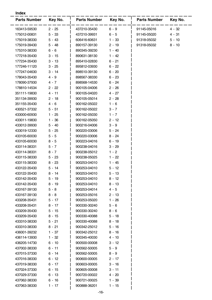#### **Index**

| <b>Parts Number</b> | Key No.  | <b>Parts Number</b> | Key No.  | <b>Parts Number</b> | Key No.  |
|---------------------|----------|---------------------|----------|---------------------|----------|
| 163413-59530        | $2 - 25$ | 437210-35430        | $6 - 9$  | 91145-05016         | $4 - 32$ |
| 175012-00831        | $5 - 33$ | 437210-39931        | $6 - 5$  | 91145-05020         | $4 - 31$ |
| 175019-38330        | 5 - 43   | 606416-60631        | $1 - 33$ | 91318-05032         | $5 - 10$ |
| 175019-39430        | $5 - 48$ | 890157-39130        | $2 - 19$ | 91318-05032         | $8 - 10$ |
| 175310-38330        | 6 - 6    | 890345-39230        | $1 - 40$ |                     |          |
| 177218-35430        | $3 - 15$ | 890631-38130        | 1 - 42   |                     |          |
| 177234-35430        | $3 - 13$ | 895410-02830        | $6 - 21$ |                     |          |
| 177246-11120        | $3 - 25$ | 895812-03930        | $6 - 22$ |                     |          |
| 177247-04630        | 3 - 14   | 898510-39130        | $6 - 20$ |                     |          |
| 178043-35430        | 4 - 9    | 898567-38330        | $6 - 23$ |                     |          |
| 178090-37930        | 4 - 7    | 898568-14530        | $6 - 24$ |                     |          |
| 178810-14534        | $2 - 22$ | 900105-04006        | $2 - 26$ |                     |          |
| 351111-19830        | $4 - 11$ | 900105-04020        | 4 - 27   |                     |          |
| 351134-39930        | $2 - 18$ | 900105-05014        | $2 - 28$ |                     |          |
| 351155-35430        | 4 - 6    | 900162-05022        | $1 - 6$  |                     |          |
| 430521-37332        | $5 - 51$ | 900162-05022        | $3 - 7$  |                     |          |
| 433000-60930        | 1 - 25   | 900162-05030        | $1 - 7$  |                     |          |
| 433011-19830        | $1 - 36$ | 900162-05050        | $2 - 12$ |                     |          |
| 433012-39930        | $5 - 40$ | 900216-04006        | $3 - 9$  |                     |          |
| 433019-12330        | $5 - 25$ | 900220-03006        | $5 - 24$ |                     |          |
| 433105-60030        | $5 - 5$  | 900220-03006        | 8 - 24   |                     |          |
| 433105-60030        | $8 - 5$  | 900223-04016        | $6 - 19$ |                     |          |
| 433114-38331        | $5 - 7$  | 900238-04016        | $3 - 29$ |                     |          |
| 433114-38331        | $8 - 7$  | 900238-05012        | $1 - 2$  |                     |          |
| 433115-38330        | $5 - 23$ | 900238-05025        | 1 - 22   |                     |          |
| 433115-38330        | $8 - 23$ | 900253-04010        | $1 - 45$ |                     |          |
| 433122-35430        | $5 - 14$ | 900253-04010        | $5 - 12$ |                     |          |
| 433122-35430        | $8 - 14$ | 900253-04010        | $5 - 13$ |                     |          |
| 433142-35430        | $5 - 19$ | 900253-04010        | $8 - 12$ |                     |          |
| 433142-35430        | $8 - 19$ | 900253-04010        | $8 - 13$ |                     |          |
| 433167-39130        | 5 - 8    | 900253-04014        | 4 - 5    |                     |          |
| 433167-39130        | $8 - 8$  | 900253-05016        | $2 - 13$ |                     |          |
| 433208-35431        | 5 - 17   | 900253-05020        | 1 - 26   |                     |          |
| 433208-35431        | $8 - 17$ | 900330-30240        | $5 - 6$  |                     |          |
| 433209-35430        | $5 - 15$ | 900330-30240        | $8 - 6$  |                     |          |
| 433209-35430        | $8 - 15$ | 900330-40088        | $5 - 18$ |                     |          |
| 433310-38330        | 5 - 21   | 900330-40088        | $8 - 18$ |                     |          |
| 433310-38330        | 8 - 21   | 900342-25012        | $5 - 16$ |                     |          |
| 436001-39232        | $1 - 37$ | 900342-25012        | $8 - 16$ |                     |          |
| 436114-13930        | $1 - 32$ | 900345-40030        | 4 - 10   |                     |          |
| 436205-14730        | 6 - 10   | 900500-00008        | $3 - 12$ |                     |          |
| 437002-38330        | $6 - 11$ | 900562-50005        | $5 - 9$  |                     |          |
| 437015-37330        | 6 - 14   | 900562-50005        | $8 - 9$  |                     |          |
| 437016-38330        | $6 - 12$ | 900600-00005        | $2 - 17$ |                     |          |
| 437019-38330        | 6 - 17   | 900603-00005        | $3 - 16$ |                     |          |
| 437024-37330        | $6 - 15$ | 900605-00008        | $3 - 11$ |                     |          |
| 437029-37330        | 6 - 13   | 900720-00022        | 4 - 20   |                     |          |
| 437062-38330        | 6 - 16   | 900721-00025        | 1 - 39   |                     |          |
| 437063-38330        | 1 - 17   | 900888-36201        | 1 - 15   |                     |          |